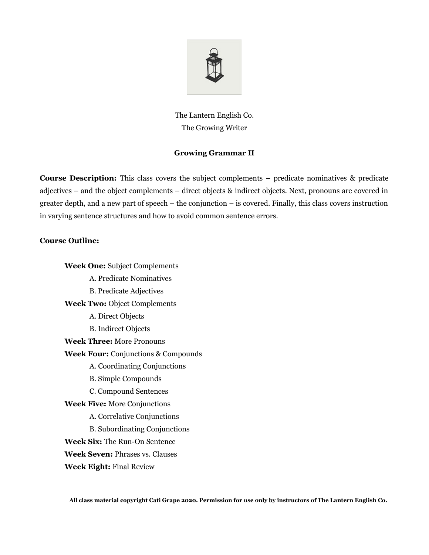

The Lantern English Co. The Growing Writer

## **Growing Grammar II**

**Course Description:** This class covers the subject complements – predicate nominatives & predicate adjectives – and the object complements – direct objects & indirect objects. Next, pronouns are covered in greater depth, and a new part of speech – the conjunction – is covered. Finally, this class covers instruction in varying sentence structures and how to avoid common sentence errors.

## **Course Outline:**

**Week One:** Subject Complements A. Predicate Nominatives B. Predicate Adjectives **Week Two:** Object Complements A. Direct Objects B. Indirect Objects **Week Three:** More Pronouns **Week Four:** Conjunctions & Compounds A. Coordinating Conjunctions B. Simple Compounds C. Compound Sentences **Week Five:** More Conjunctions A. Correlative Conjunctions B. Subordinating Conjunctions **Week Six:** The Run-On Sentence **Week Seven:** Phrases vs. Clauses **Week Eight:** Final Review